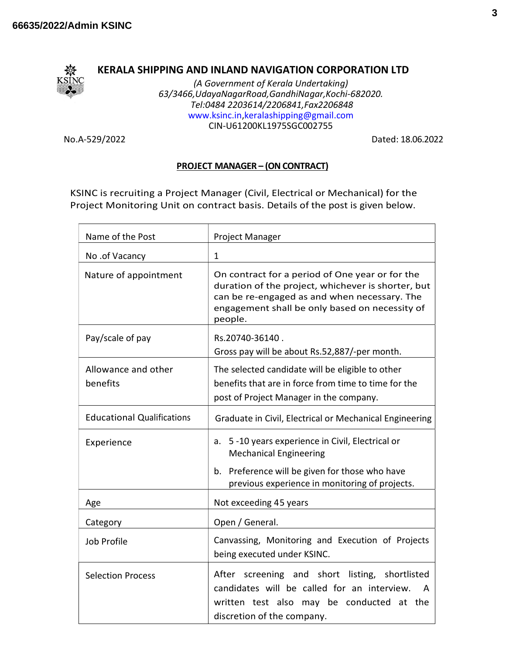

## KERALA SHIPPING AND INLAND NAVIGATION CORPORATION LTD

(A Government of Kerala Undertaking) 63/3466,UdayaNagarRoad,GandhiNagar,Kochi-682020. Tel:0484 2203614/2206841,Fax2206848 www.ksinc.in,keralashipping@gmail.com CIN-U61200KL1975SGC002755

No.A-529/2022 Dated: 18.06.2022

## PROJECT MANAGER – (ON CONTRACT)

KSINC is recruiting a Project Manager (Civil, Electrical or Mechanical) for the Project Monitoring Unit on contract basis. Details of the post is given below.

| Name of the Post                  | Project Manager                                                                                                                                                                                                    |
|-----------------------------------|--------------------------------------------------------------------------------------------------------------------------------------------------------------------------------------------------------------------|
| No .of Vacancy                    | $\mathbf 1$                                                                                                                                                                                                        |
| Nature of appointment             | On contract for a period of One year or for the<br>duration of the project, whichever is shorter, but<br>can be re-engaged as and when necessary. The<br>engagement shall be only based on necessity of<br>people. |
| Pay/scale of pay                  | Rs.20740-36140.<br>Gross pay will be about Rs.52,887/-per month.                                                                                                                                                   |
| Allowance and other<br>benefits   | The selected candidate will be eligible to other<br>benefits that are in force from time to time for the<br>post of Project Manager in the company.                                                                |
| <b>Educational Qualifications</b> | Graduate in Civil, Electrical or Mechanical Engineering                                                                                                                                                            |
| Experience                        | a. 5-10 years experience in Civil, Electrical or<br><b>Mechanical Engineering</b><br>Preference will be given for those who have<br>b.<br>previous experience in monitoring of projects.                           |
| Age                               | Not exceeding 45 years                                                                                                                                                                                             |
| Category                          | Open / General.                                                                                                                                                                                                    |
| Job Profile                       | Canvassing, Monitoring and Execution of Projects<br>being executed under KSINC.                                                                                                                                    |
| <b>Selection Process</b>          | After screening and short listing, shortlisted<br>candidates will be called for an interview.<br>A<br>written test also may be conducted at the<br>discretion of the company.                                      |